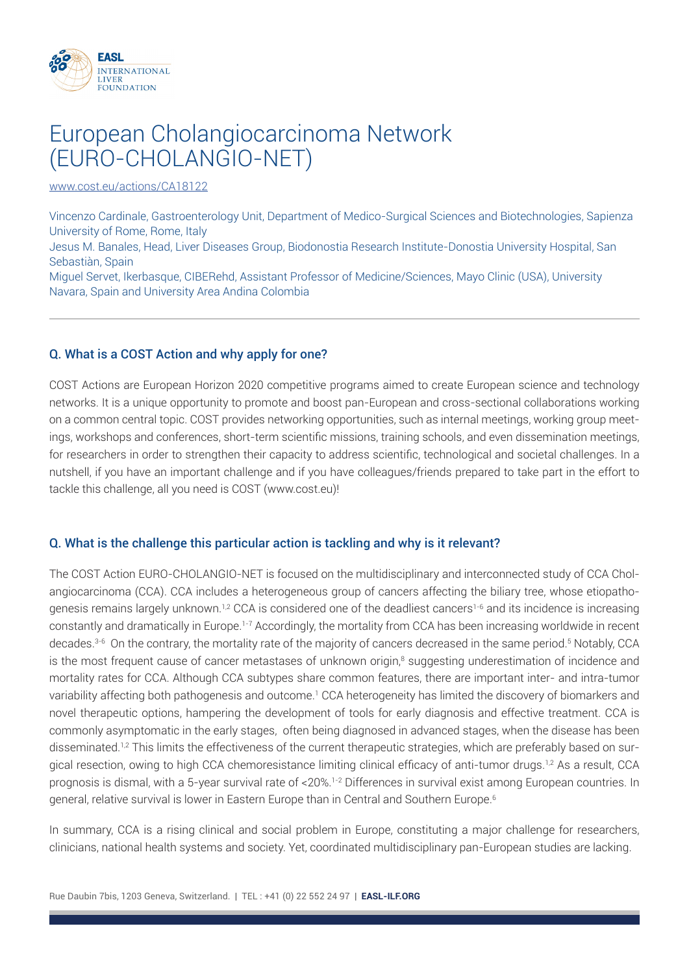

# European Cholangiocarcinoma Network (EURO-CHOLANGIO-NET)

www.cost.eu/actions/CA18122

Vincenzo Cardinale, Gastroenterology Unit, Department of Medico-Surgical Sciences and Biotechnologies, Sapienza University of Rome, Rome, Italy

Jesus M. Banales, Head, Liver Diseases Group, Biodonostia Research Institute-Donostia University Hospital, San Sebastiàn, Spain

Miguel Servet, Ikerbasque, CIBERehd, Assistant Professor of Medicine/Sciences, Mayo Clinic (USA), University Navara, Spain and University Area Andina Colombia

## Q. What is a COST Action and why apply for one?

COST Actions are European Horizon 2020 competitive programs aimed to create European science and technology networks. It is a unique opportunity to promote and boost pan-European and cross-sectional collaborations working on a common central topic. COST provides networking opportunities, such as internal meetings, working group meetings, workshops and conferences, short-term scientific missions, training schools, and even dissemination meetings, for researchers in order to strengthen their capacity to address scientific, technological and societal challenges. In a nutshell, if you have an important challenge and if you have colleagues/friends prepared to take part in the effort to tackle this challenge, all you need is COST (www.cost.eu)!

### Q. What is the challenge this particular action is tackling and why is it relevant?

The COST Action EURO-CHOLANGIO-NET is focused on the multidisciplinary and interconnected study of CCA Cholangiocarcinoma (CCA). CCA includes a heterogeneous group of cancers affecting the biliary tree, whose etiopathogenesis remains largely unknown.<sup>1,2</sup> CCA is considered one of the deadliest cancers<sup>1-6</sup> and its incidence is increasing constantly and dramatically in Europe.<sup>1-7</sup> Accordingly, the mortality from CCA has been increasing worldwide in recent decades.<sup>3-6</sup> On the contrary, the mortality rate of the majority of cancers decreased in the same period.<sup>5</sup> Notably, CCA is the most frequent cause of cancer metastases of unknown origin, $\textdegree$  suggesting underestimation of incidence and mortality rates for CCA. Although CCA subtypes share common features, there are important inter- and intra-tumor variability affecting both pathogenesis and outcome.<sup>1</sup> CCA heterogeneity has limited the discovery of biomarkers and novel therapeutic options, hampering the development of tools for early diagnosis and effective treatment. CCA is commonly asymptomatic in the early stages, often being diagnosed in advanced stages, when the disease has been disseminated.<sup>1,2</sup> This limits the effectiveness of the current therapeutic strategies, which are preferably based on surgical resection, owing to high CCA chemoresistance limiting clinical efficacy of anti-tumor drugs.<sup>1,2</sup> As a result, CCA prognosis is dismal, with a 5-year survival rate of <20%.1-2 Differences in survival exist among European countries. In general, relative survival is lower in Eastern Europe than in Central and Southern Europe.6

In summary, CCA is a rising clinical and social problem in Europe, constituting a major challenge for researchers, clinicians, national health systems and society. Yet, coordinated multidisciplinary pan-European studies are lacking.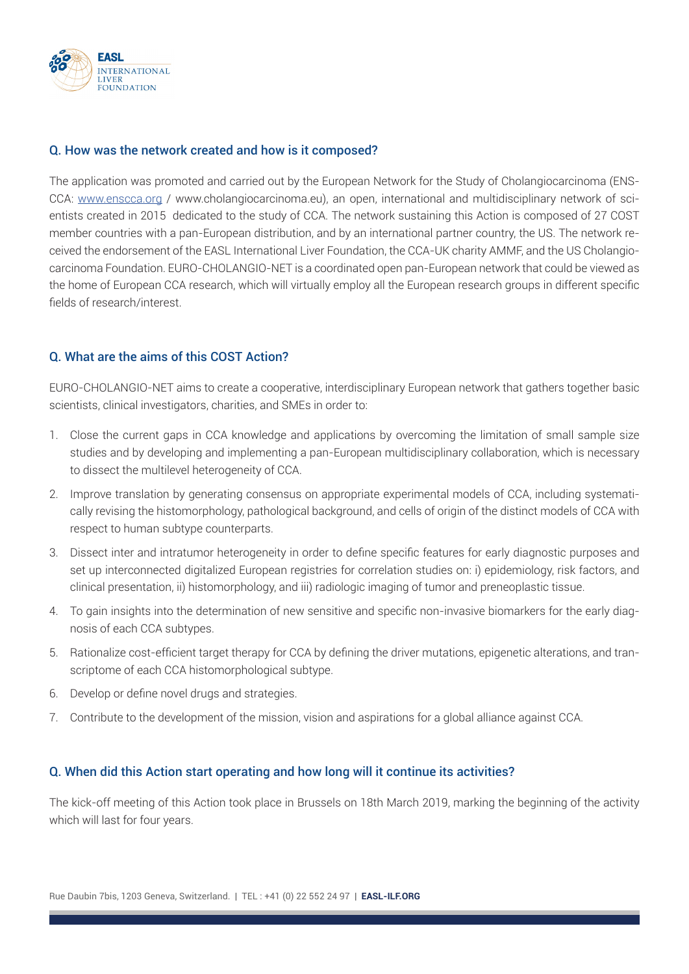

## Q. How was the network created and how is it composed?

The application was promoted and carried out by the European Network for the Study of Cholangiocarcinoma (ENS-CCA: www.enscca.org / www.cholangiocarcinoma.eu), an open, international and multidisciplinary network of scientists created in 2015 dedicated to the study of CCA. The network sustaining this Action is composed of 27 COST member countries with a pan-European distribution, and by an international partner country, the US. The network received the endorsement of the EASL International Liver Foundation, the CCA-UK charity AMMF, and the US Cholangiocarcinoma Foundation. EURO-CHOLANGIO-NET is a coordinated open pan-European network that could be viewed as the home of European CCA research, which will virtually employ all the European research groups in different specific fields of research/interest.

## Q. What are the aims of this COST Action?

EURO-CHOLANGIO-NET aims to create a cooperative, interdisciplinary European network that gathers together basic scientists, clinical investigators, charities, and SMEs in order to:

- 1. Close the current gaps in CCA knowledge and applications by overcoming the limitation of small sample size studies and by developing and implementing a pan-European multidisciplinary collaboration, which is necessary to dissect the multilevel heterogeneity of CCA.
- 2. Improve translation by generating consensus on appropriate experimental models of CCA, including systematically revising the histomorphology, pathological background, and cells of origin of the distinct models of CCA with respect to human subtype counterparts.
- 3. Dissect inter and intratumor heterogeneity in order to define specific features for early diagnostic purposes and set up interconnected digitalized European registries for correlation studies on: i) epidemiology, risk factors, and clinical presentation, ii) histomorphology, and iii) radiologic imaging of tumor and preneoplastic tissue.
- 4. To gain insights into the determination of new sensitive and specific non-invasive biomarkers for the early diagnosis of each CCA subtypes.
- 5. Rationalize cost-efficient target therapy for CCA by defining the driver mutations, epigenetic alterations, and transcriptome of each CCA histomorphological subtype.
- 6. Develop or define novel drugs and strategies.
- 7. Contribute to the development of the mission, vision and aspirations for a global alliance against CCA.

### Q. When did this Action start operating and how long will it continue its activities?

The kick-off meeting of this Action took place in Brussels on 18th March 2019, marking the beginning of the activity which will last for four years.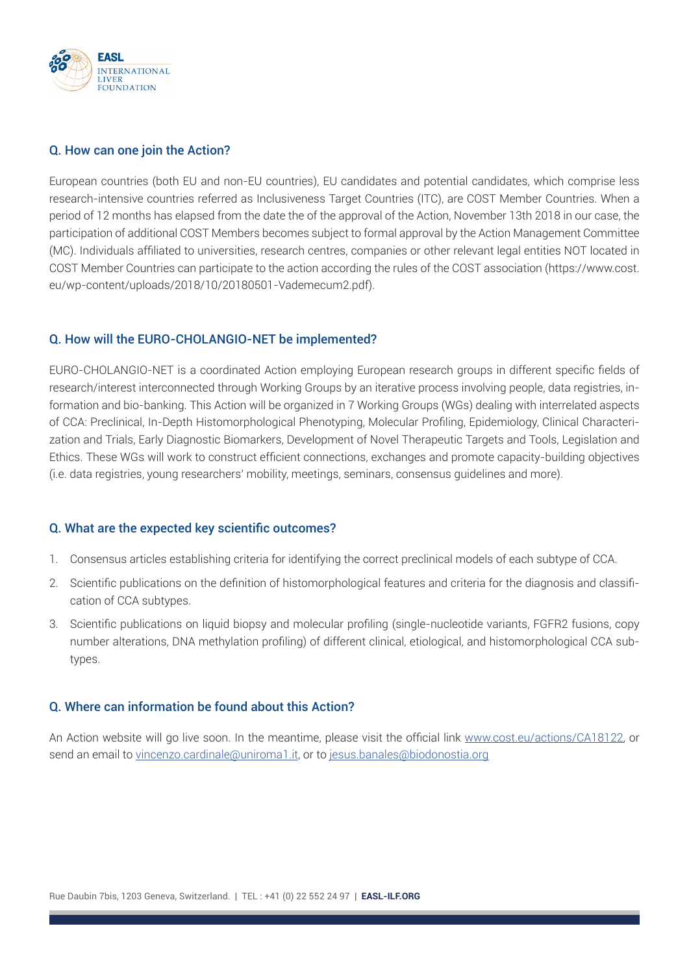

#### Q. How can one join the Action?

European countries (both EU and non-EU countries), EU candidates and potential candidates, which comprise less research-intensive countries referred as Inclusiveness Target Countries (ITC), are COST Member Countries. When a period of 12 months has elapsed from the date the of the approval of the Action, November 13th 2018 in our case, the participation of additional COST Members becomes subject to formal approval by the Action Management Committee (MC). Individuals affiliated to universities, research centres, companies or other relevant legal entities NOT located in COST Member Countries can participate to the action according the rules of the COST association (https://www.cost. eu/wp-content/uploads/2018/10/20180501-Vademecum2.pdf).

## Q. How will the EURO-CHOLANGIO-NET be implemented?

EURO-CHOLANGIO-NET is a coordinated Action employing European research groups in different specific fields of research/interest interconnected through Working Groups by an iterative process involving people, data registries, information and bio-banking. This Action will be organized in 7 Working Groups (WGs) dealing with interrelated aspects of CCA: Preclinical, In-Depth Histomorphological Phenotyping, Molecular Profiling, Epidemiology, Clinical Characterization and Trials, Early Diagnostic Biomarkers, Development of Novel Therapeutic Targets and Tools, Legislation and Ethics. These WGs will work to construct efficient connections, exchanges and promote capacity-building objectives (i.e. data registries, young researchers' mobility, meetings, seminars, consensus guidelines and more).

### Q. What are the expected key scientific outcomes?

- 1. Consensus articles establishing criteria for identifying the correct preclinical models of each subtype of CCA.
- 2. Scientific publications on the definition of histomorphological features and criteria for the diagnosis and classification of CCA subtypes.
- 3. Scientific publications on liquid biopsy and molecular profiling (single-nucleotide variants, FGFR2 fusions, copy number alterations, DNA methylation profiling) of different clinical, etiological, and histomorphological CCA subtypes.

## Q. Where can information be found about this Action?

An Action website will go live soon. In the meantime, please visit the official link www.cost.eu/actions/CA18122, or send an email to vincenzo.cardinale@uniroma1.it, or to jesus.banales@biodonostia.org